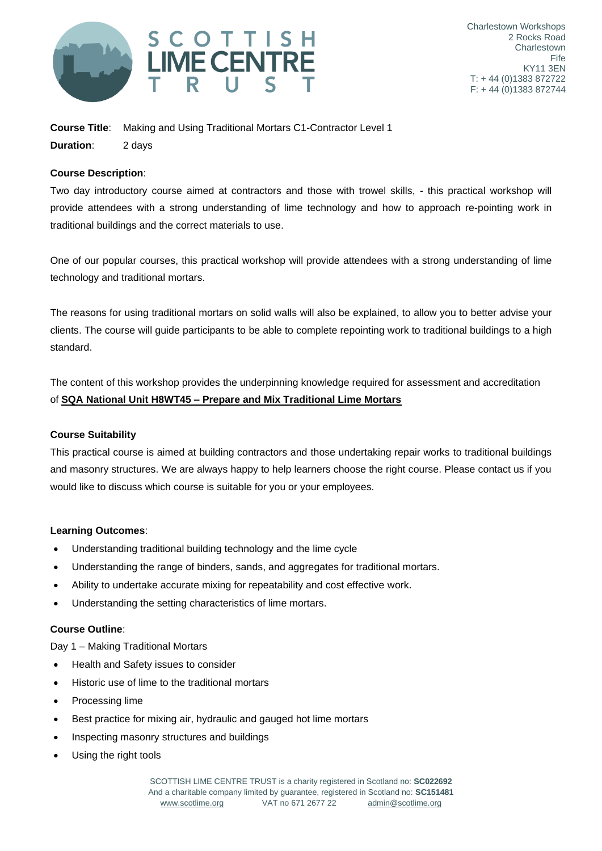

**Course Title**: Making and Using Traditional Mortars C1-Contractor Level 1 **Duration**: 2 days

## **Course Description**:

Two day introductory course aimed at contractors and those with trowel skills, - this practical workshop will provide attendees with a strong understanding of lime technology and how to approach re-pointing work in traditional buildings and the correct materials to use.

One of our popular courses, this practical workshop will provide attendees with a strong understanding of lime technology and traditional mortars.

The reasons for using traditional mortars on solid walls will also be explained, to allow you to better advise your clients. The course will guide participants to be able to complete repointing work to traditional buildings to a high standard.

The content of this workshop provides the underpinning knowledge required for assessment and accreditation of **SQA National Unit H8WT45 – Prepare and Mix Traditional Lime Mortars**

## **Course Suitability**

This practical course is aimed at building contractors and those undertaking repair works to traditional buildings and masonry structures. We are always happy to help learners choose the right course. Please contact us if you would like to discuss which course is suitable for you or your employees.

## **Learning Outcomes**:

- Understanding traditional building technology and the lime cycle
- Understanding the range of binders, sands, and aggregates for traditional mortars.
- Ability to undertake accurate mixing for repeatability and cost effective work.
- Understanding the setting characteristics of lime mortars.

## **Course Outline**:

Day 1 – Making Traditional Mortars

- Health and Safety issues to consider
- Historic use of lime to the traditional mortars
- Processing lime
- Best practice for mixing air, hydraulic and gauged hot lime mortars
- Inspecting masonry structures and buildings
- Using the right tools